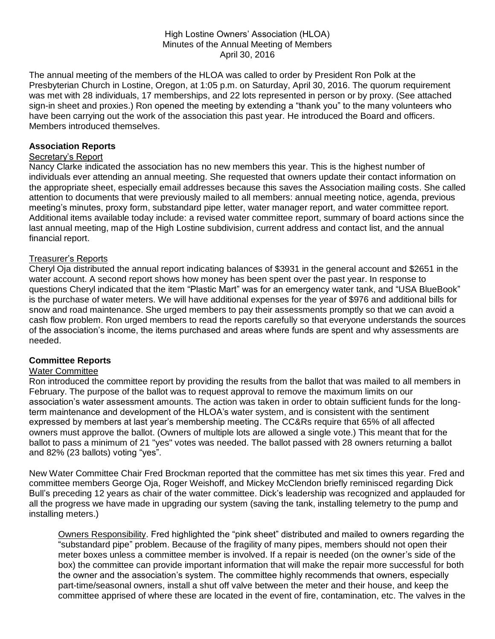### High Lostine Owners' Association (HLOA) Minutes of the Annual Meeting of Members April 30, 2016

The annual meeting of the members of the HLOA was called to order by President Ron Polk at the Presbyterian Church in Lostine, Oregon, at 1:05 p.m. on Saturday, April 30, 2016. The quorum requirement was met with 28 individuals, 17 memberships, and 22 lots represented in person or by proxy. (See attached sign-in sheet and proxies.) Ron opened the meeting by extending a "thank you" to the many volunteers who have been carrying out the work of the association this past year. He introduced the Board and officers. Members introduced themselves.

## **Association Reports**

### Secretary's Report

Nancy Clarke indicated the association has no new members this year. This is the highest number of individuals ever attending an annual meeting. She requested that owners update their contact information on the appropriate sheet, especially email addresses because this saves the Association mailing costs. She called attention to documents that were previously mailed to all members: annual meeting notice, agenda, previous meeting's minutes, proxy form, substandard pipe letter, water manager report, and water committee report. Additional items available today include: a revised water committee report, summary of board actions since the last annual meeting, map of the High Lostine subdivision, current address and contact list, and the annual financial report.

### Treasurer's Reports

Cheryl Oja distributed the annual report indicating balances of \$3931 in the general account and \$2651 in the water account. A second report shows how money has been spent over the past year. In response to questions Cheryl indicated that the item "Plastic Mart" was for an emergency water tank, and "USA BlueBook" is the purchase of water meters. We will have additional expenses for the year of \$976 and additional bills for snow and road maintenance. She urged members to pay their assessments promptly so that we can avoid a cash flow problem. Ron urged members to read the reports carefully so that everyone understands the sources of the association's income, the items purchased and areas where funds are spent and why assessments are needed.

### **Committee Reports**

### Water Committee

Ron introduced the committee report by providing the results from the ballot that was mailed to all members in February. The purpose of the ballot was to request approval to remove the maximum limits on our association's water assessment amounts. The action was taken in order to obtain sufficient funds for the longterm maintenance and development of the HLOA's water system, and is consistent with the sentiment expressed by members at last year's membership meeting. The CC&Rs require that 65% of all affected owners must approve the ballot. (Owners of multiple lots are allowed a single vote.) This meant that for the ballot to pass a minimum of 21 "yes" votes was needed. The ballot passed with 28 owners returning a ballot and 82% (23 ballots) voting "yes".

New Water Committee Chair Fred Brockman reported that the committee has met six times this year. Fred and committee members George Oja, Roger Weishoff, and Mickey McClendon briefly reminisced regarding Dick Bull's preceding 12 years as chair of the water committee. Dick's leadership was recognized and applauded for all the progress we have made in upgrading our system (saving the tank, installing telemetry to the pump and installing meters.)

Owners Responsibility. Fred highlighted the "pink sheet" distributed and mailed to owners regarding the "substandard pipe" problem. Because of the fragility of many pipes, members should not open their meter boxes unless a committee member is involved. If a repair is needed (on the owner's side of the box) the committee can provide important information that will make the repair more successful for both the owner and the association's system. The committee highly recommends that owners, especially part-time/seasonal owners, install a shut off valve between the meter and their house, and keep the committee apprised of where these are located in the event of fire, contamination, etc. The valves in the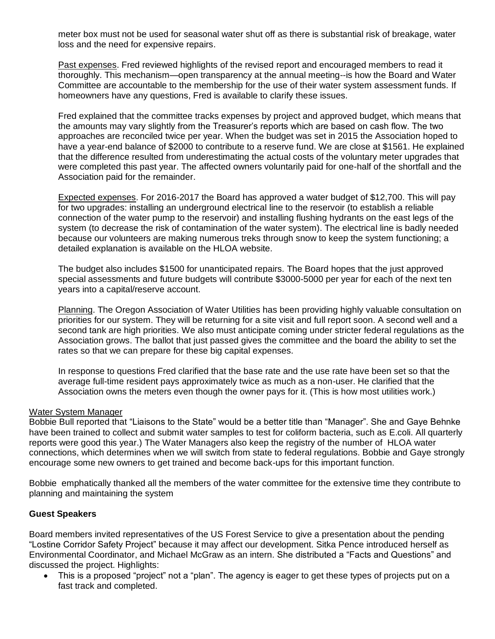meter box must not be used for seasonal water shut off as there is substantial risk of breakage, water loss and the need for expensive repairs.

Past expenses. Fred reviewed highlights of the revised report and encouraged members to read it thoroughly. This mechanism—open transparency at the annual meeting--is how the Board and Water Committee are accountable to the membership for the use of their water system assessment funds. If homeowners have any questions, Fred is available to clarify these issues.

Fred explained that the committee tracks expenses by project and approved budget, which means that the amounts may vary slightly from the Treasurer's reports which are based on cash flow. The two approaches are reconciled twice per year. When the budget was set in 2015 the Association hoped to have a year-end balance of \$2000 to contribute to a reserve fund. We are close at \$1561. He explained that the difference resulted from underestimating the actual costs of the voluntary meter upgrades that were completed this past year. The affected owners voluntarily paid for one-half of the shortfall and the Association paid for the remainder.

Expected expenses. For 2016-2017 the Board has approved a water budget of \$12,700. This will pay for two upgrades: installing an underground electrical line to the reservoir (to establish a reliable connection of the water pump to the reservoir) and installing flushing hydrants on the east legs of the system (to decrease the risk of contamination of the water system). The electrical line is badly needed because our volunteers are making numerous treks through snow to keep the system functioning; a detailed explanation is available on the HLOA website.

The budget also includes \$1500 for unanticipated repairs. The Board hopes that the just approved special assessments and future budgets will contribute \$3000-5000 per year for each of the next ten years into a capital/reserve account.

Planning. The Oregon Association of Water Utilities has been providing highly valuable consultation on priorities for our system. They will be returning for a site visit and full report soon. A second well and a second tank are high priorities. We also must anticipate coming under stricter federal regulations as the Association grows. The ballot that just passed gives the committee and the board the ability to set the rates so that we can prepare for these big capital expenses.

In response to questions Fred clarified that the base rate and the use rate have been set so that the average full-time resident pays approximately twice as much as a non-user. He clarified that the Association owns the meters even though the owner pays for it. (This is how most utilities work.)

### Water System Manager

Bobbie Bull reported that "Liaisons to the State" would be a better title than "Manager". She and Gaye Behnke have been trained to collect and submit water samples to test for coliform bacteria, such as E.coli. All quarterly reports were good this year.) The Water Managers also keep the registry of the number of HLOA water connections, which determines when we will switch from state to federal regulations. Bobbie and Gaye strongly encourage some new owners to get trained and become back-ups for this important function.

Bobbie emphatically thanked all the members of the water committee for the extensive time they contribute to planning and maintaining the system

### **Guest Speakers**

Board members invited representatives of the US Forest Service to give a presentation about the pending "Lostine Corridor Safety Project" because it may affect our development. Sitka Pence introduced herself as Environmental Coordinator, and Michael McGraw as an intern. She distributed a "Facts and Questions" and discussed the project. Highlights:

 This is a proposed "project" not a "plan". The agency is eager to get these types of projects put on a fast track and completed.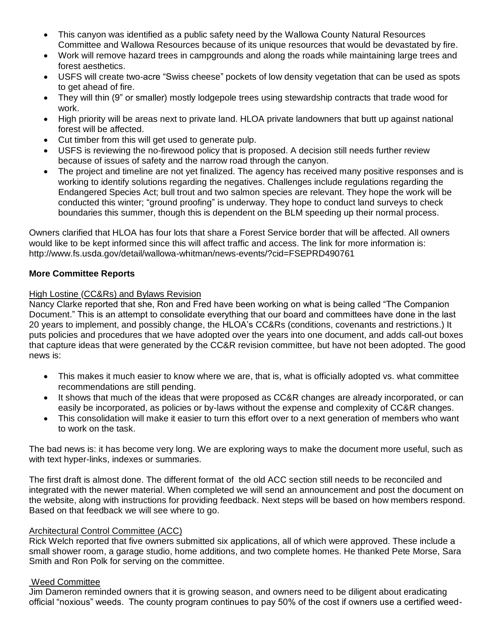- This canyon was identified as a public safety need by the Wallowa County Natural Resources Committee and Wallowa Resources because of its unique resources that would be devastated by fire.
- Work will remove hazard trees in campgrounds and along the roads while maintaining large trees and forest aesthetics.
- USFS will create two-acre "Swiss cheese" pockets of low density vegetation that can be used as spots to get ahead of fire.
- They will thin (9" or smaller) mostly lodgepole trees using stewardship contracts that trade wood for work.
- High priority will be areas next to private land. HLOA private landowners that butt up against national forest will be affected.
- Cut timber from this will get used to generate pulp.
- USFS is reviewing the no-firewood policy that is proposed. A decision still needs further review because of issues of safety and the narrow road through the canyon.
- The project and timeline are not yet finalized. The agency has received many positive responses and is working to identify solutions regarding the negatives. Challenges include regulations regarding the Endangered Species Act; bull trout and two salmon species are relevant. They hope the work will be conducted this winter; "ground proofing" is underway. They hope to conduct land surveys to check boundaries this summer, though this is dependent on the BLM speeding up their normal process.

Owners clarified that HLOA has four lots that share a Forest Service border that will be affected. All owners would like to be kept informed since this will affect traffic and access. The link for more information is: http://www.fs.usda.gov/detail/wallowa-whitman/news-events/?cid=FSEPRD490761

# **More Committee Reports**

# High Lostine (CC&Rs) and Bylaws Revision

Nancy Clarke reported that she, Ron and Fred have been working on what is being called "The Companion Document." This is an attempt to consolidate everything that our board and committees have done in the last 20 years to implement, and possibly change, the HLOA's CC&Rs (conditions, covenants and restrictions.) It puts policies and procedures that we have adopted over the years into one document, and adds call-out boxes that capture ideas that were generated by the CC&R revision committee, but have not been adopted. The good news is:

- This makes it much easier to know where we are, that is, what is officially adopted vs. what committee recommendations are still pending.
- It shows that much of the ideas that were proposed as CC&R changes are already incorporated, or can easily be incorporated, as policies or by-laws without the expense and complexity of CC&R changes.
- This consolidation will make it easier to turn this effort over to a next generation of members who want to work on the task.

The bad news is: it has become very long. We are exploring ways to make the document more useful, such as with text hyper-links, indexes or summaries.

The first draft is almost done. The different format of the old ACC section still needs to be reconciled and integrated with the newer material. When completed we will send an announcement and post the document on the website, along with instructions for providing feedback. Next steps will be based on how members respond. Based on that feedback we will see where to go.

# Architectural Control Committee (ACC)

Rick Welch reported that five owners submitted six applications, all of which were approved. These include a small shower room, a garage studio, home additions, and two complete homes. He thanked Pete Morse, Sara Smith and Ron Polk for serving on the committee.

# Weed Committee

Jim Dameron reminded owners that it is growing season, and owners need to be diligent about eradicating official "noxious" weeds. The county program continues to pay 50% of the cost if owners use a certified weed